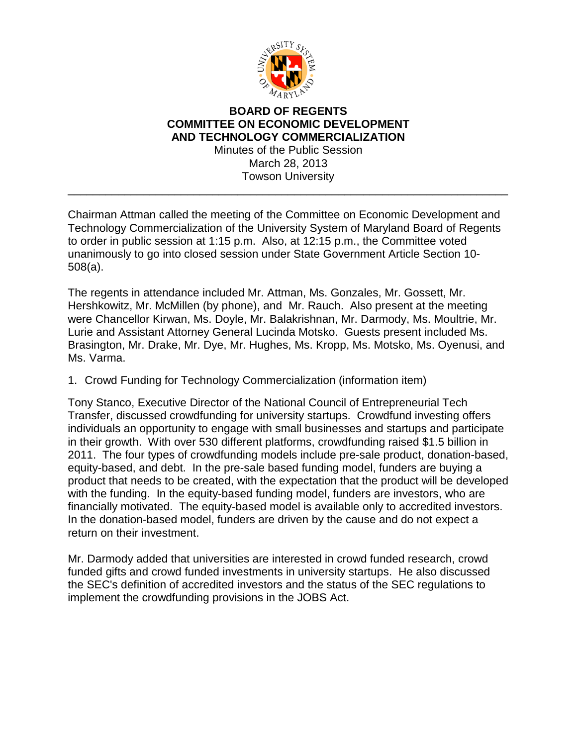

## **BOARD OF REGENTS COMMITTEE ON ECONOMIC DEVELOPMENT AND TECHNOLOGY COMMERCIALIZATION** Minutes of the Public Session

March 28, 2013 Towson University

\_\_\_\_\_\_\_\_\_\_\_\_\_\_\_\_\_\_\_\_\_\_\_\_\_\_\_\_\_\_\_\_\_\_\_\_\_\_\_\_\_\_\_\_\_\_\_\_\_\_\_\_\_\_\_\_\_\_\_\_\_\_\_\_\_\_\_\_\_\_

Chairman Attman called the meeting of the Committee on Economic Development and Technology Commercialization of the University System of Maryland Board of Regents to order in public session at 1:15 p.m. Also, at 12:15 p.m., the Committee voted unanimously to go into closed session under State Government Article Section 10- 508(a).

The regents in attendance included Mr. Attman, Ms. Gonzales, Mr. Gossett, Mr. Hershkowitz, Mr. McMillen (by phone), and Mr. Rauch. Also present at the meeting were Chancellor Kirwan, Ms. Doyle, Mr. Balakrishnan, Mr. Darmody, Ms. Moultrie, Mr. Lurie and Assistant Attorney General Lucinda Motsko. Guests present included Ms. Brasington, Mr. Drake, Mr. Dye, Mr. Hughes, Ms. Kropp, Ms. Motsko, Ms. Oyenusi, and Ms. Varma.

## 1. Crowd Funding for Technology Commercialization (information item)

Tony Stanco, Executive Director of the National Council of Entrepreneurial Tech Transfer, discussed crowdfunding for university startups. Crowdfund investing offers individuals an opportunity to engage with small businesses and startups and participate in their growth. With over 530 different platforms, crowdfunding raised \$1.5 billion in 2011. The four types of crowdfunding models include pre-sale product, donation-based, equity-based, and debt. In the pre-sale based funding model, funders are buying a product that needs to be created, with the expectation that the product will be developed with the funding. In the equity-based funding model, funders are investors, who are financially motivated. The equity-based model is available only to accredited investors. In the donation-based model, funders are driven by the cause and do not expect a return on their investment.

Mr. Darmody added that universities are interested in crowd funded research, crowd funded gifts and crowd funded investments in university startups. He also discussed the SEC's definition of accredited investors and the status of the SEC regulations to implement the crowdfunding provisions in the JOBS Act.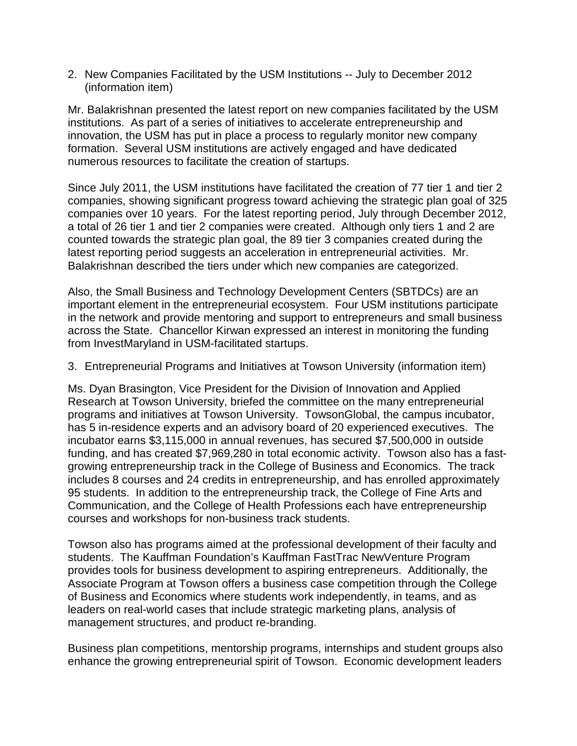2. New Companies Facilitated by the USM Institutions -- July to December 2012 (information item)

Mr. Balakrishnan presented the latest report on new companies facilitated by the USM institutions. As part of a series of initiatives to accelerate entrepreneurship and innovation, the USM has put in place a process to regularly monitor new company formation. Several USM institutions are actively engaged and have dedicated numerous resources to facilitate the creation of startups.

Since July 2011, the USM institutions have facilitated the creation of 77 tier 1 and tier 2 companies, showing significant progress toward achieving the strategic plan goal of 325 companies over 10 years. For the latest reporting period, July through December 2012, a total of 26 tier 1 and tier 2 companies were created. Although only tiers 1 and 2 are counted towards the strategic plan goal, the 89 tier 3 companies created during the latest reporting period suggests an acceleration in entrepreneurial activities. Mr. Balakrishnan described the tiers under which new companies are categorized.

Also, the Small Business and Technology Development Centers (SBTDCs) are an important element in the entrepreneurial ecosystem. Four USM institutions participate in the network and provide mentoring and support to entrepreneurs and small business across the State. Chancellor Kirwan expressed an interest in monitoring the funding from InvestMaryland in USM-facilitated startups.

3. Entrepreneurial Programs and Initiatives at Towson University (information item)

Ms. Dyan Brasington, Vice President for the Division of Innovation and Applied Research at Towson University, briefed the committee on the many entrepreneurial programs and initiatives at Towson University. TowsonGlobal, the campus incubator, has 5 in-residence experts and an advisory board of 20 experienced executives. The incubator earns \$3,115,000 in annual revenues, has secured \$7,500,000 in outside funding, and has created \$7,969,280 in total economic activity. Towson also has a fastgrowing entrepreneurship track in the College of Business and Economics. The track includes 8 courses and 24 credits in entrepreneurship, and has enrolled approximately 95 students. In addition to the entrepreneurship track, the College of Fine Arts and Communication, and the College of Health Professions each have entrepreneurship courses and workshops for non-business track students.

Towson also has programs aimed at the professional development of their faculty and students. The Kauffman Foundation's Kauffman FastTrac NewVenture Program provides tools for business development to aspiring entrepreneurs. Additionally, the Associate Program at Towson offers a business case competition through the College of Business and Economics where students work independently, in teams, and as leaders on real-world cases that include strategic marketing plans, analysis of management structures, and product re-branding.

Business plan competitions, mentorship programs, internships and student groups also enhance the growing entrepreneurial spirit of Towson. Economic development leaders